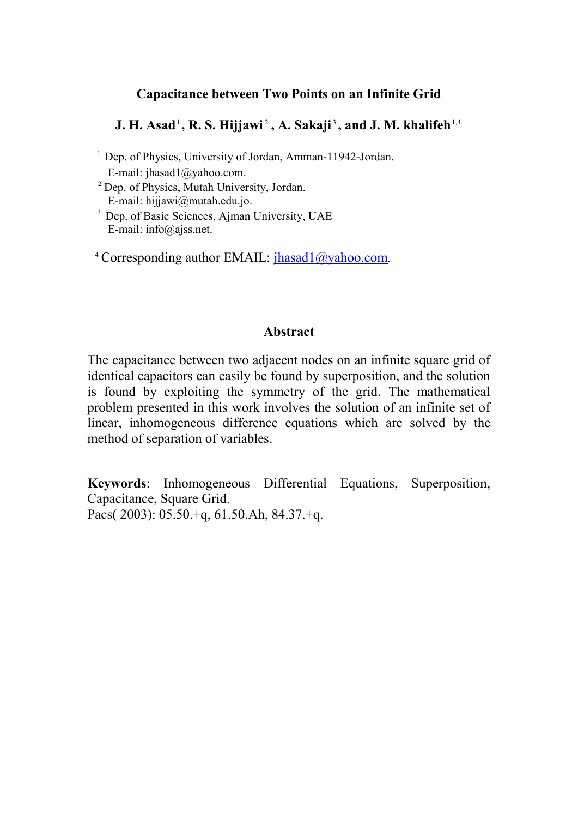# **Capacitance between Two Points on an Infinite Grid**

# $\mathbf{J.}\ \mathbf{H.}\ \mathbf{Asad}^{\scriptscriptstyle 1}\ \mathbf{,}\ \mathbf{R.}\ \mathbf{S.}\ \mathbf{Hijjawi}^{\scriptscriptstyle 2}\ \mathbf{,}\ \mathbf{A.}\ \mathbf{Sakaji}^{\scriptscriptstyle 3}\ \mathbf{,} \ \mathbf{and}\ \mathbf{J.}\ \mathbf{M.}\ \mathbf{khalifeh}^{\scriptscriptstyle 1,4}$

- <sup>1</sup> Dep. of Physics, University of Jordan, Amman-11942-Jordan. E-mail: jhasad1@yahoo.com.
- <sup>2</sup> Dep. of Physics, Mutah University, Jordan. E-mail: hijjawi@mutah.edu.jo.
- <sup>3</sup> Dep. of Basic Sciences, Ajman University, UAE E-mail: info@ajss.net.
- <sup>4</sup> Corresponding author EMAIL: [jhasad1@yahoo.com](mailto:jhasad1@yahoo.com).

## **Abstract**

The capacitance between two adjacent nodes on an infinite square grid of identical capacitors can easily be found by superposition, and the solution is found by exploiting the symmetry of the grid. The mathematical problem presented in this work involves the solution of an infinite set of linear, inhomogeneous difference equations which are solved by the method of separation of variables.

**Keywords**: Inhomogeneous Differential Equations, Superposition, Capacitance, Square Grid. Pacs( 2003): 05.50.+q, 61.50.Ah, 84.37.+q.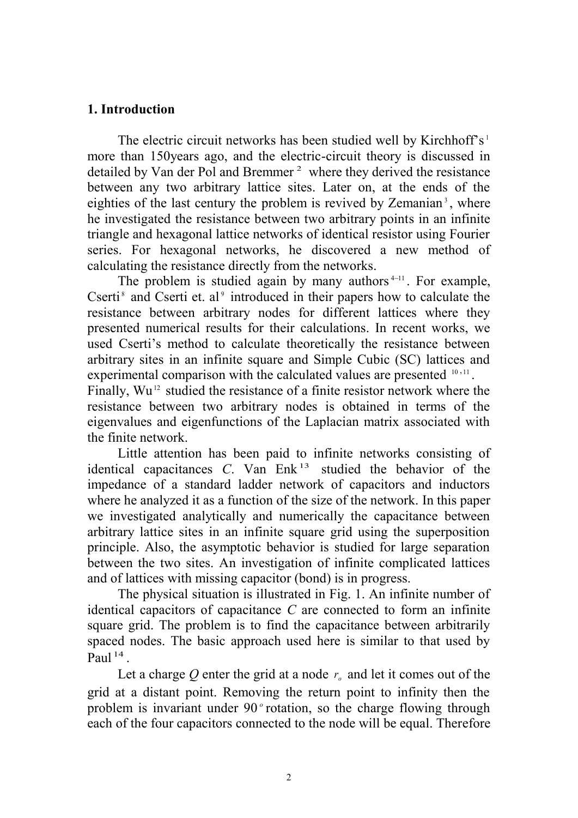## **1. Introduction**

 The electric circuit networks has been studied well by Kirchhoff's 1 more than 150years ago, and the electric-circuit theory is discussed in detailed by Van der Pol and Bremmer 2 where they derived the resistance between any two arbitrary lattice sites. Later on, at the ends of the eighties of the last century the problem is revived by Zemanian<sup>3</sup>, where he investigated the resistance between two arbitrary points in an infinite triangle and hexagonal lattice networks of identical resistor using Fourier series. For hexagonal networks, he discovered a new method of calculating the resistance directly from the networks.

The problem is studied again by many authors<sup> $4-11$ </sup>. For example, Cserti<sup>8</sup> and Cserti et. al<sup>9</sup> introduced in their papers how to calculate the resistance between arbitrary nodes for different lattices where they presented numerical results for their calculations. In recent works, we used Cserti's method to calculate theoretically the resistance between arbitrary sites in an infinite square and Simple Cubic (SC) lattices and experimental comparison with the calculated values are presented <sup>10,11</sup>. Finally, Wu<sup>12</sup> studied the resistance of a finite resistor network where the resistance between two arbitrary nodes is obtained in terms of the eigenvalues and eigenfunctions of the Laplacian matrix associated with the finite network.

 Little attention has been paid to infinite networks consisting of identical capacitances *C*. Van Enk 13 studied the behavior of the impedance of a standard ladder network of capacitors and inductors where he analyzed it as a function of the size of the network. In this paper we investigated analytically and numerically the capacitance between arbitrary lattice sites in an infinite square grid using the superposition principle. Also, the asymptotic behavior is studied for large separation between the two sites. An investigation of infinite complicated lattices and of lattices with missing capacitor (bond) is in progress.

 The physical situation is illustrated in Fig. 1. An infinite number of identical capacitors of capacitance *C* are connected to form an infinite square grid. The problem is to find the capacitance between arbitrarily spaced nodes. The basic approach used here is similar to that used by Paul<sup>14</sup>.

Let a charge Q enter the grid at a node  $r<sub>o</sub>$  and let it comes out of the grid at a distant point. Removing the return point to infinity then the problem is invariant under 90<sup>°</sup> rotation, so the charge flowing through each of the four capacitors connected to the node will be equal. Therefore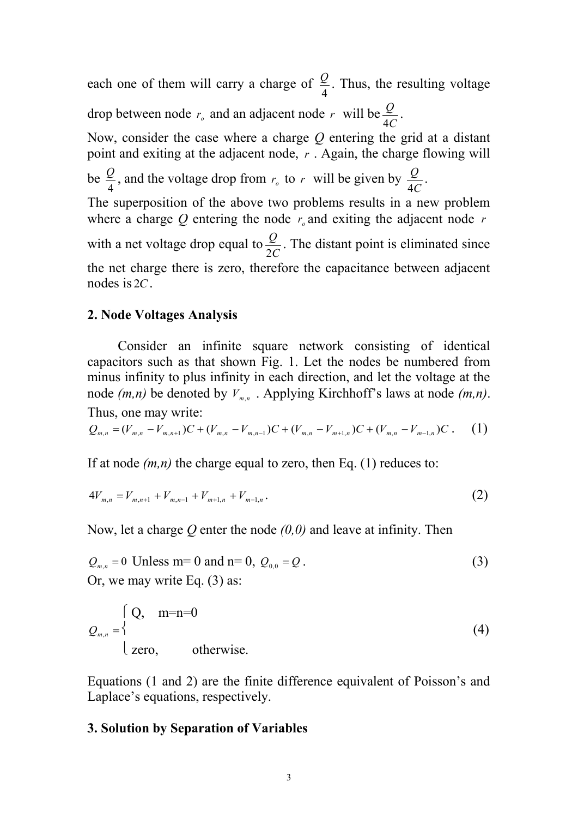each one of them will carry a charge of 4  $\frac{Q}{I}$ . Thus, the resulting voltage drop between node  $r<sub>o</sub>$  and an adjacent node  $r$  will be *C Q* 4 .

Now, consider the case where a charge *Q* entering the grid at a distant point and exiting at the adjacent node, *r* . Again, the charge flowing will be 4  $\frac{Q}{A}$ , and the voltage drop from  $r_a$  to r will be given by *C Q* 4 . The superposition of the above two problems results in a new problem where a charge  $Q$  entering the node  $r<sub>o</sub>$  and exiting the adjacent node  $r<sub>o</sub>$ with a net voltage drop equal to *C Q* 2 . The distant point is eliminated since

the net charge there is zero, therefore the capacitance between adjacent nodes is 2*C*.

# **2. Node Voltages Analysis**

 Consider an infinite square network consisting of identical capacitors such as that shown Fig. 1. Let the nodes be numbered from minus infinity to plus infinity in each direction, and let the voltage at the node *(m,n)* be denoted by *Vm*,*<sup>n</sup>* . Applying Kirchhoff's laws at node *(m,n)*. Thus, one may write:

$$
Q_{m,n} = (V_{m,n} - V_{m,n+1})C + (V_{m,n} - V_{m,n-1})C + (V_{m,n} - V_{m+1,n})C + (V_{m,n} - V_{m-1,n})C. \tag{1}
$$

If at node  $(m, n)$  the charge equal to zero, then Eq. (1) reduces to:

$$
4V_{m,n} = V_{m,n+1} + V_{m,n-1} + V_{m+1,n} + V_{m-1,n}.
$$
\n(2)

Now, let a charge *Q* enter the node *(0,0)* and leave at infinity. Then

$$
Q_{m,n} = 0 \text{ Unless m= 0 and n= 0, } Q_{0,0} = Q. \tag{3}
$$
  
Or, we may write Eq. (3) as:

$$
Q_{m,n} = \begin{cases} Q, & m=n=0\\ \text{zero,} & \text{otherwise.} \end{cases} \tag{4}
$$

Equations (1 and 2) are the finite difference equivalent of Poisson's and Laplace's equations, respectively.

## **3. Solution by Separation of Variables**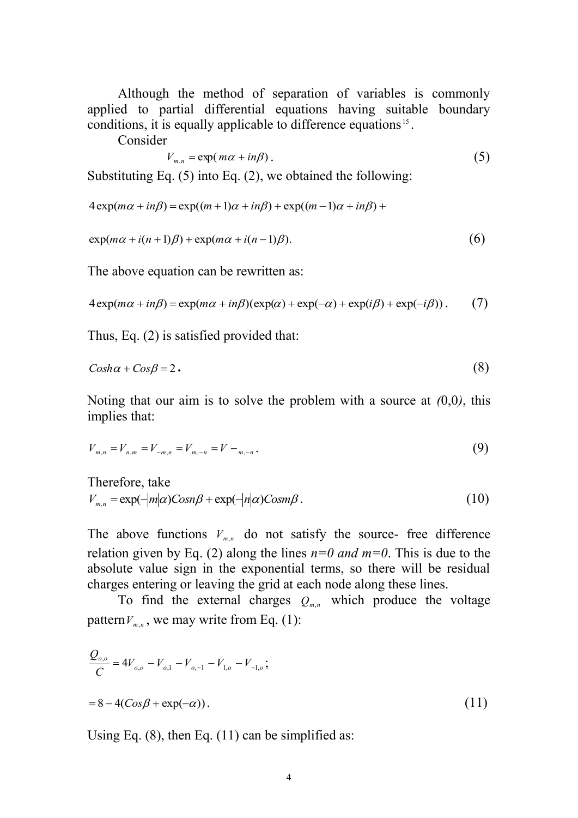Although the method of separation of variables is commonly applied to partial differential equations having suitable boundary conditions, it is equally applicable to difference equations<sup>15</sup>.

Consider

$$
V_{m,n} = \exp(m\alpha + in\beta). \tag{5}
$$

Substituting Eq. (5) into Eq. (2), we obtained the following:

$$
4 \exp(m\alpha + in\beta) = \exp((m+1)\alpha + in\beta) + \exp((m-1)\alpha + in\beta) +
$$

$$
\exp(m\alpha + i(n+1)\beta) + \exp(m\alpha + i(n-1)\beta). \tag{6}
$$

The above equation can be rewritten as:

$$
4 \exp(m\alpha + in\beta) = \exp(m\alpha + in\beta)(\exp(\alpha) + \exp(-\alpha) + \exp(i\beta) + \exp(-i\beta)).
$$
 (7)

Thus, Eq. (2) is satisfied provided that:

$$
Cosh\alpha + Cos\beta = 2.
$$
 (8)

Noting that our aim is to solve the problem with a source at *(*0,0*)*, this implies that:

$$
V_{m,n} = V_{n,m} = V_{-m,n} = V_{m,-n} = V - (9)
$$

Therefore, take  
\n
$$
V_{m,n} = \exp(-|m|\alpha) \text{Cosn}\beta + \exp(-|n|\alpha) \text{Cosm}\beta.
$$
\n(10)

The above functions  $V_{m,n}$  do not satisfy the source- free difference relation given by Eq. (2) along the lines  $n=0$  and  $m=0$ . This is due to the absolute value sign in the exponential terms, so there will be residual charges entering or leaving the grid at each node along these lines.

To find the external charges  $Q_{m,n}$  which produce the voltage pattern  $V_{m,n}$ , we may write from Eq. (1):

$$
\frac{Q_{o,o}}{C} = 4V_{o,o} - V_{o,1} - V_{o,-1} - V_{1,o} - V_{-1,o};
$$
  
= 8 - 4(Cos\beta + exp(-\alpha)). (11)

Using Eq.  $(8)$ , then Eq.  $(11)$  can be simplified as: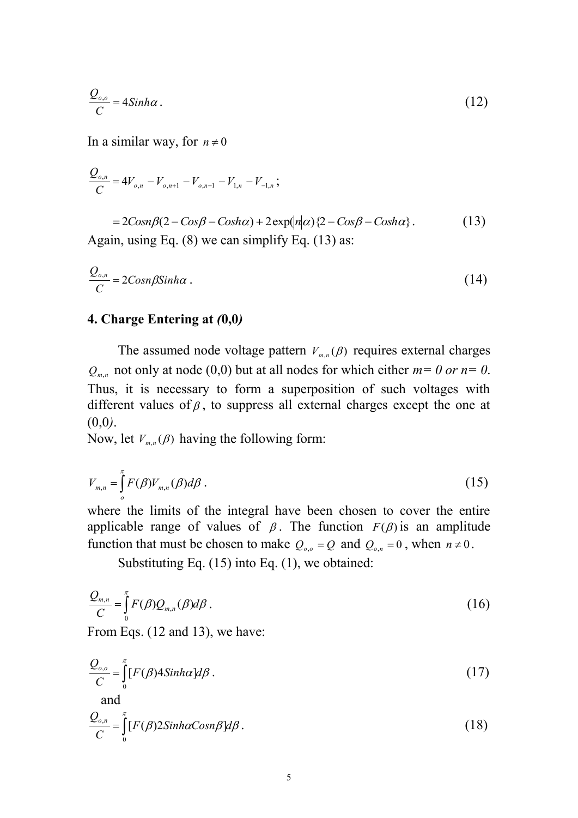$$
\frac{Q_{o,o}}{C} = 4\sinh\alpha\,. \tag{12}
$$

In a similar way, for  $n \neq 0$ 

$$
\frac{Q_{o,n}}{C} = 4V_{o,n} - V_{o,n+1} - V_{o,n-1} - V_{1,n} - V_{-1,n};
$$

 $= 2Cosn\beta(2 - Cos\beta - Cosh\alpha) + 2exp(n|\alpha|)\left\{2 - Cos\beta - Cosh\alpha\right\}.$  $(13)$ Again, using Eq. (8) we can simplify Eq. (13) as:

$$
\frac{Q_{o,n}}{C} = 2\text{Cosn}\beta \text{Sinh}\alpha \tag{14}
$$

#### **4. Charge Entering at** *(***0,0***)*

The assumed node voltage pattern  $V_{m,n}(\beta)$  requires external charges  $Q_{m,n}$  not only at node (0,0) but at all nodes for which either  $m=0$  or  $n=0$ . Thus, it is necessary to form a superposition of such voltages with different values of  $\beta$ , to suppress all external charges except the one at (0,0*)*.

Now, let  $V_{m,n}(\beta)$  having the following form:

$$
V_{m,n} = \int_{o}^{\pi} F(\beta) V_{m,n}(\beta) d\beta \tag{15}
$$

where the limits of the integral have been chosen to cover the entire applicable range of values of  $\beta$ . The function  $F(\beta)$  is an amplitude function that must be chosen to make  $Q_{o,o} = Q$  and  $Q_{o,n} = 0$ , when  $n \neq 0$ .

Substituting Eq. (15) into Eq. (1), we obtained:

$$
\frac{Q_{m,n}}{C} = \int_{0}^{\pi} F(\beta) Q_{m,n}(\beta) d\beta.
$$
 (16)

From Eqs. (12 and 13), we have:

$$
\frac{Q_{o,o}}{C} = \int_{0}^{\pi} [F(\beta)4 \sinh \alpha] d\beta. \tag{17}
$$

and  
\n
$$
\frac{Q_{o,n}}{C} = \int_{0}^{\pi} [F(\beta)2\sinh\alpha \cos\beta] d\beta.
$$
\n(18)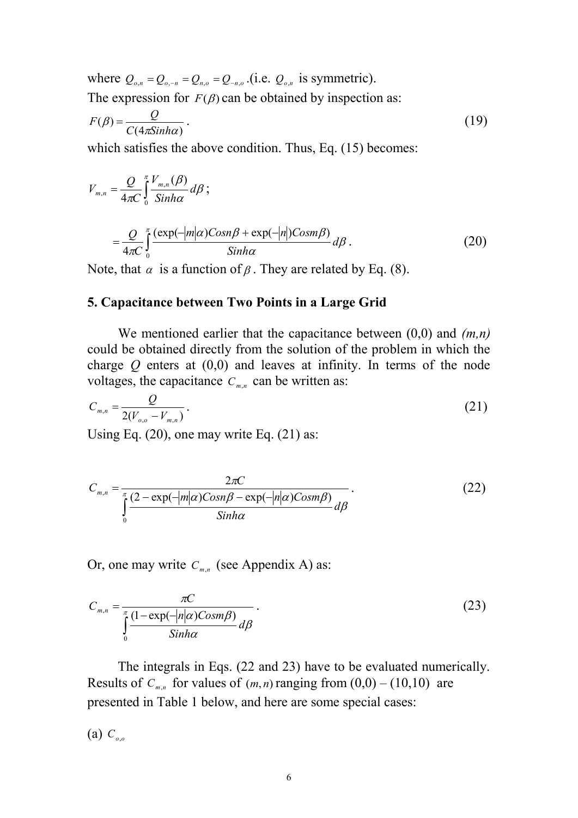where  $Q_{o,n} = Q_{o,-n} = Q_{n,o} = Q_{-n,o}$ . (i.e.  $Q_{o,n}$  is symmetric). The expression for  $F(\beta)$  can be obtained by inspection as:

$$
F(\beta) = \frac{Q}{C(4\pi \sinh \alpha)}.
$$
\n(19)

which satisfies the above condition. Thus, Eq. (15) becomes:

$$
V_{m,n} = \frac{Q}{4\pi C} \int_{0}^{\pi} \frac{V_{m,n}(\beta)}{\sinh\alpha} d\beta ;
$$
  
\n
$$
= \frac{Q}{4\pi C} \int_{0}^{\pi} \frac{(\exp(-|m|\alpha) \cos n\beta + \exp(-|n|) \cos m\beta)}{\sinh\alpha} d\beta.
$$
 (20)  
\nNote, that  $\alpha$  is a function of  $\beta$ . They are related by Eq. (8).

## **5. Capacitance between Two Points in a Large Grid**

 We mentioned earlier that the capacitance between (0,0) and *(m,n)* could be obtained directly from the solution of the problem in which the charge *Q* enters at (0,0) and leaves at infinity. In terms of the node voltages, the capacitance  $C_{m,n}$  can be written as:

$$
C_{m,n} = \frac{Q}{2(V_{o,o} - V_{m,n})}.
$$
\n(21)

Using Eq. (20), one may write Eq. (21) as:

$$
C_{m,n} = \frac{2\pi C}{\int_{0}^{\pi} \frac{(2 - \exp(-|m|\alpha)Cosn\beta - \exp(-|n|\alpha)Cosm\beta)}{\sinh\alpha} d\beta}.
$$
 (22)

Or, one may write  $C_{m,n}$  (see Appendix A) as:

$$
C_{m,n} = \frac{\pi C}{\int_{0}^{\pi} \frac{(1 - \exp(-|n|\alpha) \cos m\beta)}{\sinh \alpha} d\beta}.
$$
 (23)

 The integrals in Eqs. (22 and 23) have to be evaluated numerically. Results of  $C_{m,n}$  for values of  $(m,n)$  ranging from  $(0,0) - (10,10)$  are presented in Table 1 below, and here are some special cases:

(a) *Co*,*o*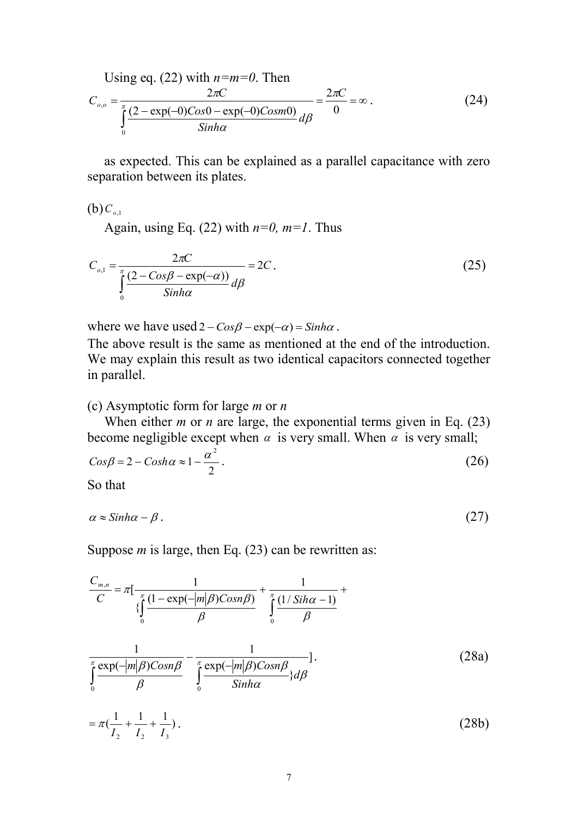Using eq. (22) with 
$$
n=m=0
$$
. Then  
\n
$$
C_{o,o} = \frac{2\pi C}{\int_{0}^{\pi} \frac{(2-\exp(-0)Cos0 - \exp(-0)Cosm0)}{Sinh\alpha} d\beta} d\beta} = \frac{2\pi C}{0} = \infty.
$$
\n(24)

 as expected. This can be explained as a parallel capacitance with zero separation between its plates.

 $(b) C_{o,1}$ 

Again, using Eq. (22) with  $n=0$ ,  $m=1$ . Thus

$$
C_{o,1} = \frac{2\pi C}{\int_{0}^{\pi} \frac{(2 - \cos\beta - \exp(-\alpha))}{\sinh\alpha} d\beta} = 2C.
$$
 (25)

where we have used  $2 - Cos\beta - exp(-\alpha) = Sinh\alpha$ .

The above result is the same as mentioned at the end of the introduction. We may explain this result as two identical capacitors connected together in parallel.

#### (c) Asymptotic form for large *m* or *n*

When either *m* or *n* are large, the exponential terms given in Eq. (23) become negligible except when  $\alpha$  is very small. When  $\alpha$  is very small;

$$
Cos\beta = 2 - Cosh\alpha \approx 1 - \frac{\alpha^2}{2}.
$$
\n(26)

So that

$$
\alpha \approx \sinh \alpha - \beta \,. \tag{27}
$$

Suppose *m* is large, then Eq. (23) can be rewritten as:

$$
\frac{C_{m,n}}{C} = \pi \left[ \frac{1}{\int_{0}^{\pi} \frac{(1 - \exp(-|m|\beta)Cosn\beta)}{\beta} + \int_{0}^{\pi} \frac{(1/\sin\alpha - 1)}{\beta} + \int_{0}^{\pi} \frac{(1/\sin\alpha - 1)}{\beta} + \int_{0}^{\pi} \frac{\exp(-|m|\beta)Cosn\beta}{\beta} + \int_{0}^{\pi} \frac{\exp(-|m|\beta)Cosn\beta}{\sinh\alpha} \right]
$$
\n
$$
= \pi \left( \frac{1}{I_{2}} + \frac{1}{I_{2}} + \frac{1}{I_{3}} + \frac{1}{I_{3}} \right). \tag{28b}
$$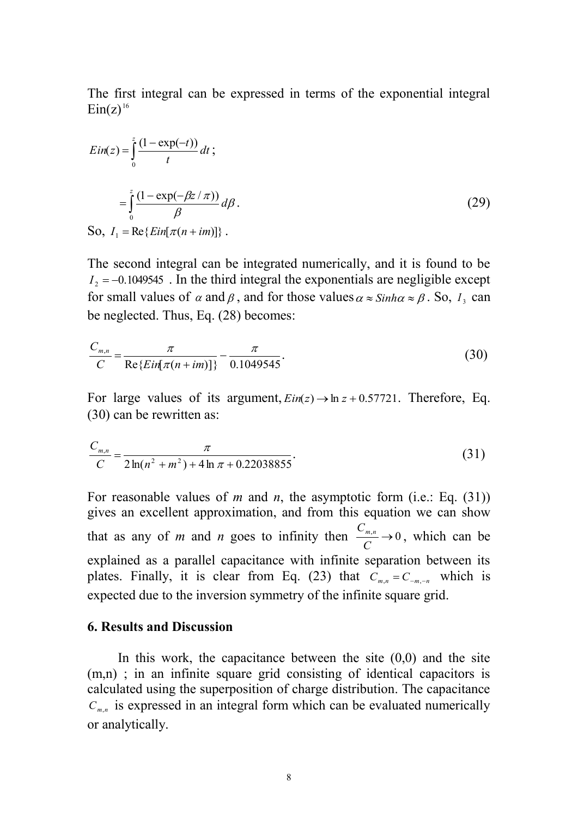The first integral can be expressed in terms of the exponential integral  $Ein(z)^{16}$ 

$$
Ein(z) = \int_0^z \frac{(1 - \exp(-t))}{t} dt ;
$$
  

$$
= \int_0^z \frac{(1 - \exp(-\beta z / \pi))}{\beta} d\beta.
$$
  
So,  $I_1 = \text{Re}\{Ein[\pi(n + im)]\}.$  (29)

The second integral can be integrated numerically, and it is found to be  $I_2 = -0.1049545$ . In the third integral the exponentials are negligible except for small values of  $\alpha$  and  $\beta$ , and for those values  $\alpha \approx \sinh \alpha \approx \beta$ . So,  $I_3$  can be neglected. Thus, Eq. (28) becomes:

$$
\frac{C_{m,n}}{C} = \frac{\pi}{\text{Re}\{Ein[\pi(n+im)]\}} - \frac{\pi}{0.1049545}.
$$
\n(30)

For large values of its argument,  $Ein(z) \rightarrow \ln z + 0.57721$ . Therefore, Eq. (30) can be rewritten as:

$$
\frac{C_{m,n}}{C} = \frac{\pi}{2\ln(n^2 + m^2) + 4\ln\pi + 0.22038855}.
$$
\n(31)

For reasonable values of *m* and *n*, the asymptotic form (i.e.: Eq. (31)) gives an excellent approximation, and from this equation we can show that as any of *m* and *n* goes to infinity then  $\frac{C_{m,n}}{C} \to 0$ *C*  $\frac{C_{m,n}}{C}$  → 0, which can be explained as a parallel capacitance with infinite separation between its plates. Finally, it is clear from Eq. (23) that  $C_{m,n} = C_{-m,-n}$  which is expected due to the inversion symmetry of the infinite square grid.

## **6. Results and Discussion**

In this work, the capacitance between the site  $(0,0)$  and the site (m,n) ; in an infinite square grid consisting of identical capacitors is calculated using the superposition of charge distribution. The capacitance  $C_{m,n}$  is expressed in an integral form which can be evaluated numerically or analytically.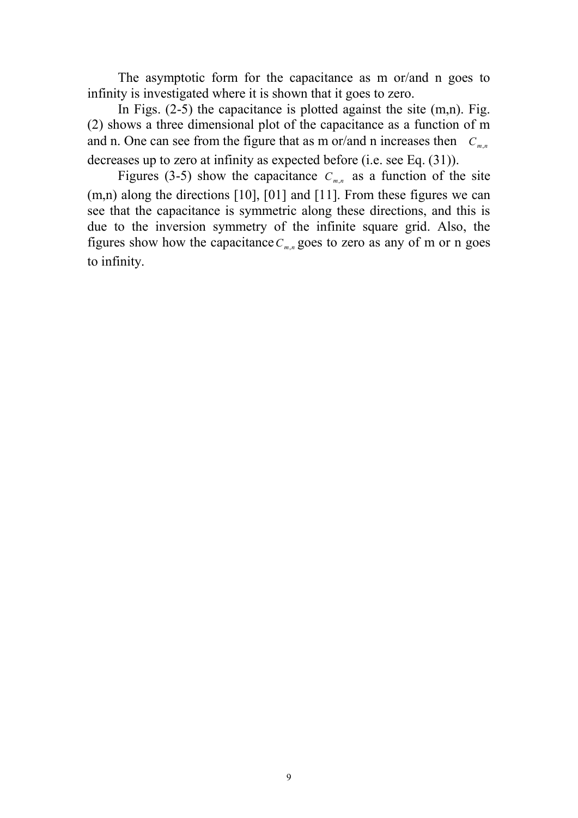The asymptotic form for the capacitance as m or/and n goes to infinity is investigated where it is shown that it goes to zero.

In Figs.  $(2-5)$  the capacitance is plotted against the site  $(m,n)$ . Fig. (2) shows a three dimensional plot of the capacitance as a function of m and n. One can see from the figure that as m or/and n increases then  $C_{m,n}$ decreases up to zero at infinity as expected before (i.e. see Eq. (31)).

Figures (3-5) show the capacitance  $C_{m,n}$  as a function of the site (m,n) along the directions [10], [01] and [11]. From these figures we can see that the capacitance is symmetric along these directions, and this is due to the inversion symmetry of the infinite square grid. Also, the figures show how the capacitance  $C_{m,n}$  goes to zero as any of m or n goes to infinity.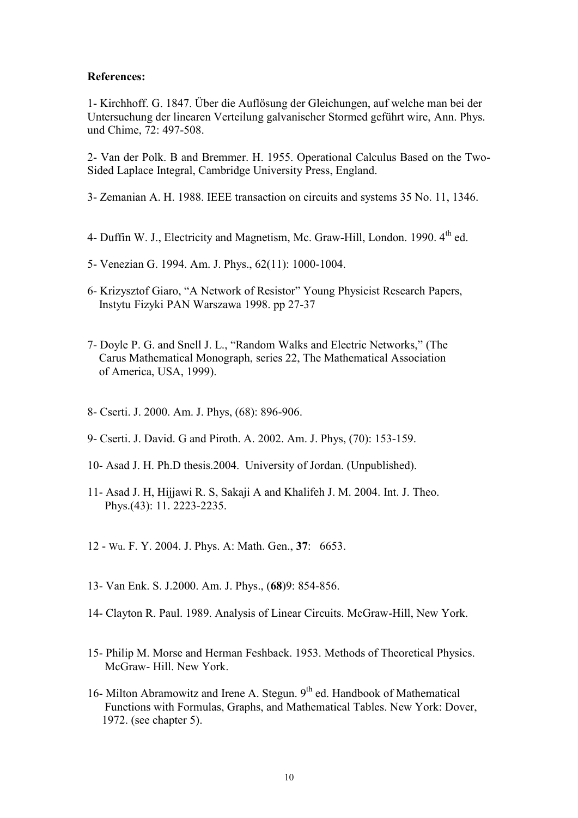#### **References:**

1- Kirchhoff. G. 1847. Über die Auflösung der Gleichungen, auf welche man bei der Untersuchung der linearen Verteilung galvanischer Stormed geführt wire, Ann. Phys. und Chime, 72: 497-508.

2- Van der Polk. B and Bremmer. H. 1955. Operational Calculus Based on the Two-Sided Laplace Integral, Cambridge University Press, England.

3- Zemanian A. H. 1988. IEEE transaction on circuits and systems 35 No. 11, 1346.

- 4- Duffin W. J., Electricity and Magnetism, Mc. Graw-Hill, London. 1990,  $4^{th}$  ed.
- 5- Venezian G. 1994. Am. J. Phys., 62(11): 1000-1004.
- 6- Krizysztof Giaro, "A Network of Resistor" Young Physicist Research Papers, Instytu Fizyki PAN Warszawa 1998. pp 27-37
- 7- Doyle P. G. and Snell J. L., "Random Walks and Electric Networks," (The Carus Mathematical Monograph, series 22, The Mathematical Association of America, USA, 1999).
- 8- Cserti. J. 2000. Am. J. Phys, (68): 896-906.
- 9- Cserti. J. David. G and Piroth. A. 2002. Am. J. Phys, (70): 153-159.
- 10- Asad J. H. Ph.D thesis.2004. University of Jordan. (Unpublished).
- 11- Asad J. H, Hijjawi R. S, Sakaji A and Khalifeh J. M. 2004. Int. J. Theo. Phys.(43): 11. 2223-2235.
- 12 Wu. F. Y. 2004. J. Phys. A: Math. Gen., **37**: 6653.
- 13- Van Enk. S. J.2000. Am. J. Phys., (**68**)9: 854-856.
- 14- Clayton R. Paul. 1989. Analysis of Linear Circuits. McGraw-Hill, New York.
- 15- Philip M. Morse and Herman Feshback. 1953. Methods of Theoretical Physics. McGraw- Hill. New York.
- 16- Milton Abramowitz and Irene A. Stegun.  $9<sup>th</sup>$  ed. Handbook of Mathematical Functions with Formulas, Graphs, and Mathematical Tables. New York: Dover, 1972. (see chapter 5).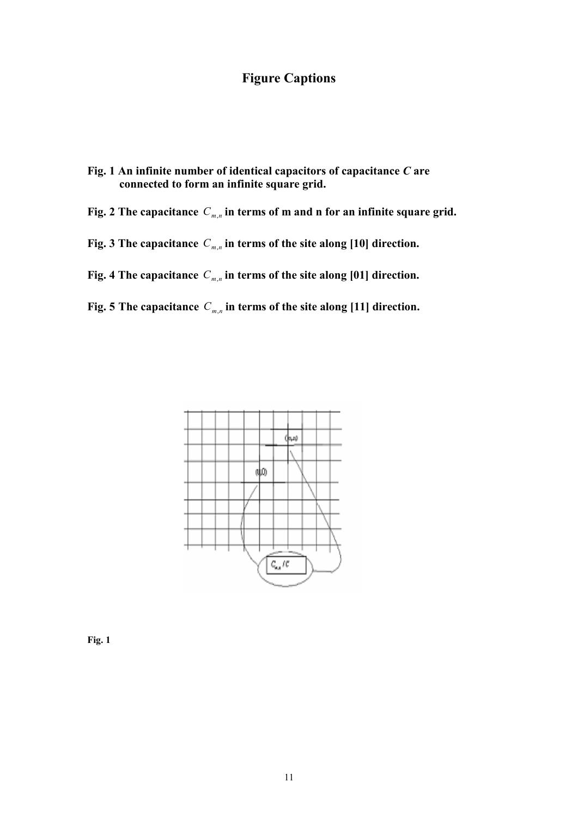## **Figure Captions**

- **Fig. 1 An infinite number of identical capacitors of capacitance** *C* **are connected to form an infinite square grid.**
- **Fig. 2 The capacitance**  *Cm*,*<sup>n</sup>* **in terms of m and n for an infinite square grid.**
- **Fig. 3 The capacitance**  *Cm*,*<sup>n</sup>* **in terms of the site along [10] direction.**
- **Fig. 4 The capacitance**  *Cm*,*<sup>n</sup>* **in terms of the site along [01] direction.**
- **Fig. 5 The capacitance**  *Cm*,*<sup>n</sup>* **in terms of the site along [11] direction.**



**Fig. 1**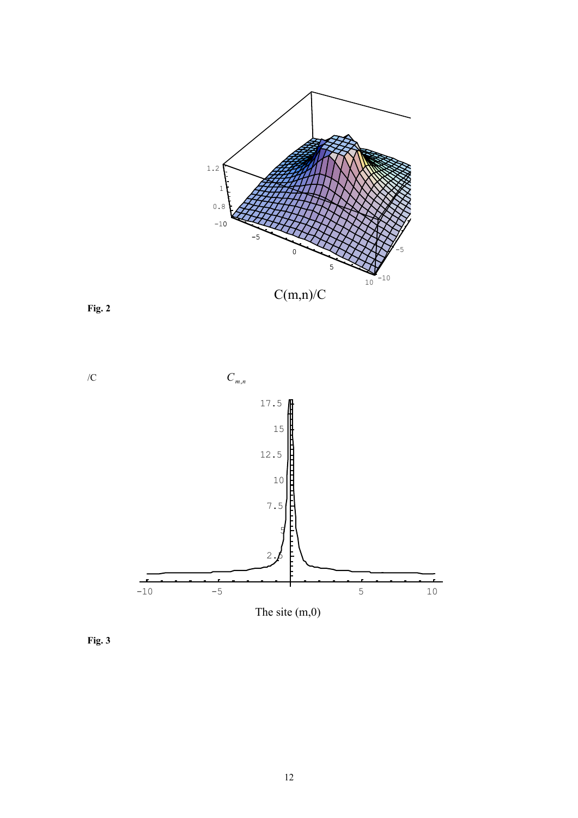

 $C(m,n)/C$ 





**Fig. 3**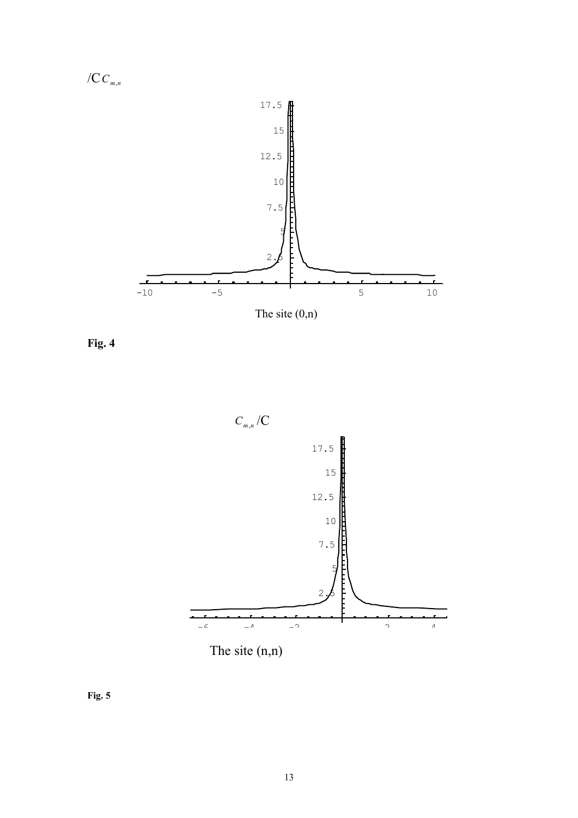

**Fig. 4**





**Fig. 5**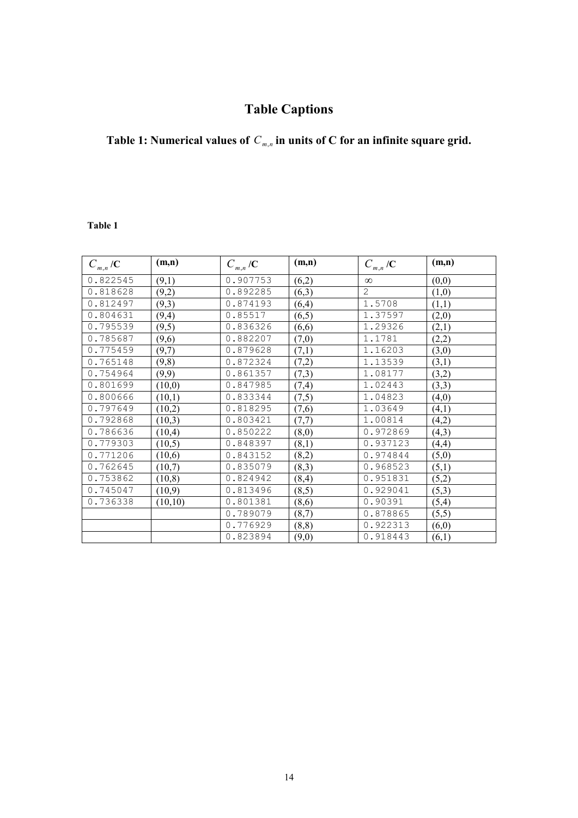# **Table Captions**

#### **Table 1: Numerical values of**  *Cm*,*<sup>n</sup>* **in units of C for an infinite square grid.**

#### **Table 1**

| $C_{m,n}/C$ | (m,n)   | $C_{m,n}/C$ | (m,n)  | $C_{m,n}/C$    | (m,n)  |
|-------------|---------|-------------|--------|----------------|--------|
| 0.822545    | (9,1)   | 0.907753    | (6,2)  | $\infty$       | (0,0)  |
| 0.818628    | (9,2)   | 0.892285    | (6,3)  | $\overline{2}$ | (1,0)  |
| 0.812497    | (9,3)   | 0.874193    | (6,4)  | 1.5708         | (1,1)  |
| 0.804631    | (9,4)   | 0.85517     | (6,5)  | 1.37597        | (2,0)  |
| 0.795539    | (9,5)   | 0.836326    | (6,6)  | 1.29326        | (2,1)  |
| 0.785687    | (9,6)   | 0.882207    | (7,0)  | 1.1781         | (2,2)  |
| 0.775459    | (9,7)   | 0.879628    | (7,1)  | 1.16203        | (3,0)  |
| 0.765148    | (9, 8)  | 0.872324    | (7,2)  | 1.13539        | (3,1)  |
| 0.754964    | (9,9)   | 0.861357    | (7,3)  | 1.08177        | (3,2)  |
| 0.801699    | (10,0)  | 0.847985    | (7,4)  | 1.02443        | (3,3)  |
| 0.800666    | (10,1)  | 0.833344    | (7,5)  | 1.04823        | (4,0)  |
| 0.797649    | (10,2)  | 0.818295    | (7,6)  | 1.03649        | (4,1)  |
| 0.792868    | (10,3)  | 0.803421    | (7,7)  | 1.00814        | (4,2)  |
| 0.786636    | (10,4)  | 0.850222    | (8,0)  | 0.972869       | (4,3)  |
| 0.779303    | (10,5)  | 0.848397    | (8,1)  | 0.937123       | (4,4)  |
| 0.771206    | (10,6)  | 0.843152    | (8,2)  | 0.974844       | (5,0)  |
| 0.762645    | (10,7)  | 0.835079    | (8,3)  | 0.968523       | (5,1)  |
| 0.753862    | (10, 8) | 0.824942    | (8, 4) | 0.951831       | (5,2)  |
| 0.745047    | (10,9)  | 0.813496    | (8,5)  | 0.929041       | (5,3)  |
| 0.736338    | (10,10) | 0.801381    | (8,6)  | 0.90391        | (5,4)  |
|             |         | 0.789079    | (8,7)  | 0.878865       | (5,5)  |
|             |         | 0.776929    | (8, 8) | 0.922313       | (6, 0) |
|             |         | 0.823894    | (9,0)  | 0.918443       | (6,1)  |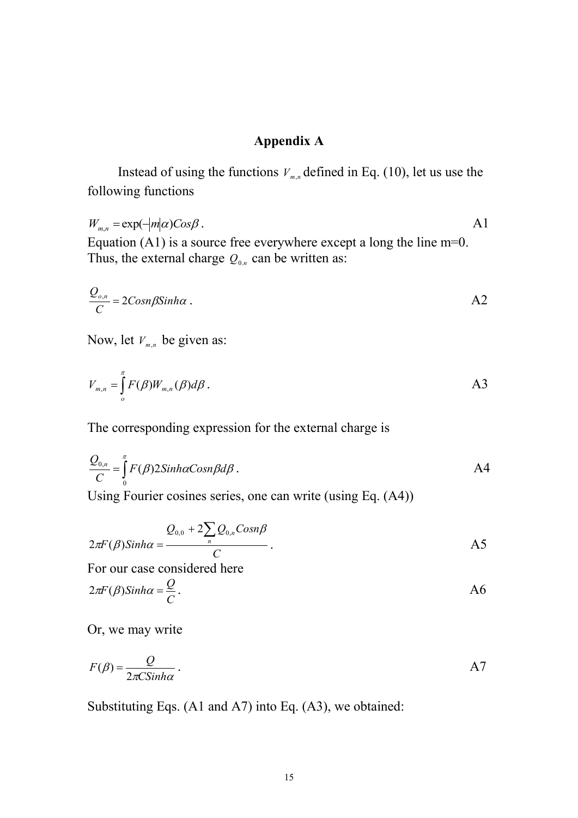## **Appendix A**

Instead of using the functions  $V_{m,n}$  defined in Eq. (10), let us use the following functions

 $W_{m,n} = \exp(-|m|\alpha) \cos\beta$ . A1 Equation (A1) is a source free everywhere except a long the line m=0. Thus, the external charge  $Q_{0,n}$  can be written as:

$$
\frac{Q_{o,n}}{C} = 2\text{Cosn}\beta \text{Sinh}\alpha \ .
$$

Now, let *Vm*,*<sup>n</sup>* be given as:

$$
V_{m,n} = \int_{o}^{\pi} F(\beta) W_{m,n}(\beta) d\beta.
$$

The corresponding expression for the external charge is

$$
\frac{Q_{0,n}}{C} = \int_{0}^{\pi} F(\beta) 2Sinh\alpha \text{Cosn}\beta d\beta.
$$
 A4

Using Fourier cosines series, one can write (using Eq. (A4))

$$
2\pi F(\beta) Sinh\alpha = \frac{Q_{0,0} + 2\sum_{n} Q_{0,n} Cosn\beta}{C}.
$$

For our case considered here

$$
2\pi F(\beta) \sinh \alpha = \frac{Q}{C}.
$$

Or, we may write

$$
F(\beta) = \frac{Q}{2\pi C \sinh \alpha} \, .
$$

Substituting Eqs. (A1 and A7) into Eq. (A3), we obtained: